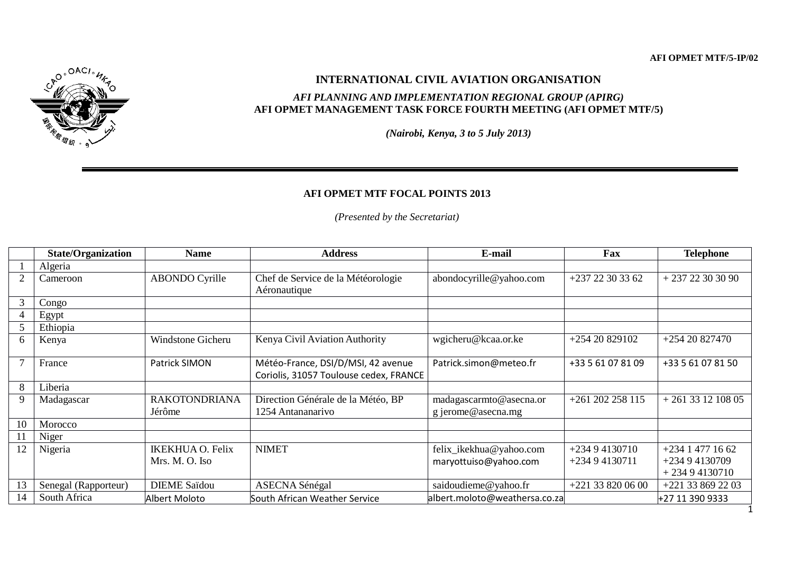

## **INTERNATIONAL CIVIL AVIATION ORGANISATION**

## *AFI PLANNING AND IMPLEMENTATION REGIONAL GROUP (APIRG)* **AFI OPMET MANAGEMENT TASK FORCE FOURTH MEETING (AFI OPMET MTF/5)**

*(Nairobi, Kenya, 3 to 5 July 2013)*

## **AFI OPMET MTF FOCAL POINTS 2013**

*(Presented by the Secretariat)*

|                | <b>State/Organization</b> | <b>Name</b>                    | <b>Address</b>                                                               | E-mail                                        | Fax                 | <b>Telephone</b>                 |
|----------------|---------------------------|--------------------------------|------------------------------------------------------------------------------|-----------------------------------------------|---------------------|----------------------------------|
|                | Algeria                   |                                |                                                                              |                                               |                     |                                  |
| 2              | Cameroon                  | <b>ABONDO</b> Cyrille          | Chef de Service de la Météorologie<br>Aéronautique                           | abondocyrille@yahoo.com                       | $+23722303362$      | $+23722303090$                   |
| 3              | Congo                     |                                |                                                                              |                                               |                     |                                  |
| $\overline{4}$ | Egypt                     |                                |                                                                              |                                               |                     |                                  |
| 5              | Ethiopia                  |                                |                                                                              |                                               |                     |                                  |
| 6              | Kenya                     | Windstone Gicheru              | Kenya Civil Aviation Authority                                               | wgicheru@kcaa.or.ke                           | $+25420829102$      | $+25420827470$                   |
| $\overline{7}$ | France                    | Patrick SIMON                  | Météo-France, DSI/D/MSI, 42 avenue<br>Coriolis, 31057 Toulouse cedex, FRANCE | Patrick.simon@meteo.fr                        | +33 5 61 07 81 09   | +33 5 61 07 81 50                |
| 8              | Liberia                   |                                |                                                                              |                                               |                     |                                  |
| 9              | Madagascar                | <b>RAKOTONDRIANA</b><br>Jérôme | Direction Générale de la Météo, BP<br>1254 Antananarivo                      | madagascarmto@asecna.or<br>g jerome@asecna.mg | $+261$ 202 258 115  | $+261331210805$                  |
| 10             | Morocco                   |                                |                                                                              |                                               |                     |                                  |
| 11             | Niger                     |                                |                                                                              |                                               |                     |                                  |
| 12             | Nigeria                   | <b>IKEKHUA O. Felix</b>        | <b>NIMET</b>                                                                 | felix_ikekhua@yahoo.com                       | $+23494130710$      | $+234$ 1 477 16 62               |
|                |                           | Mrs. M. O. Iso                 |                                                                              | maryottuiso@yahoo.com                         | $+23494130711$      | $+23494130709$<br>$+23494130710$ |
| 13             | Senegal (Rapporteur)      | <b>DIEME Saïdou</b>            | <b>ASECNA Sénégal</b>                                                        | saidoudieme@yahoo.fr                          | $+221$ 33 820 06 00 | $+221$ 33 869 22 03              |
| 14             | South Africa              | Albert Moloto                  | South African Weather Service                                                | albert.moloto@weathersa.co.za                 |                     | +27 11 390 9333                  |